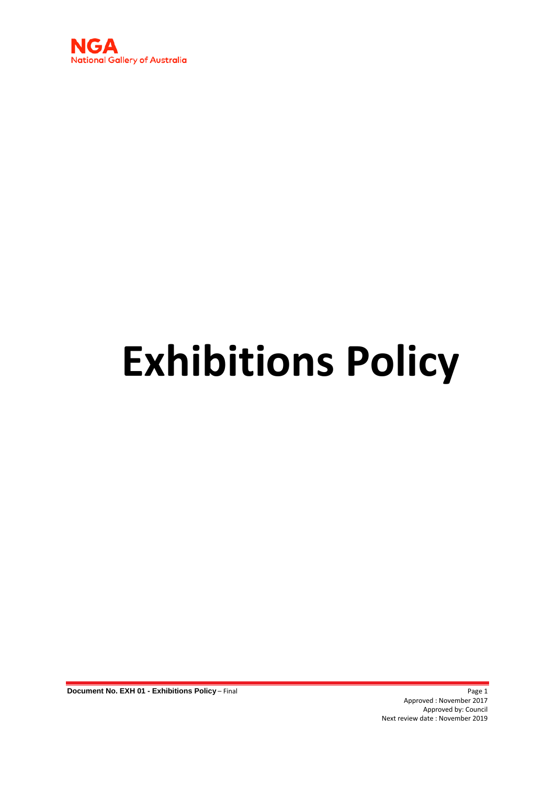

# **Exhibitions Policy**

**Document No. EXH 01 - Exhibitions Policy** – Final Page 1

Approved : November 2017 Approved by: Council Next review date : November 2019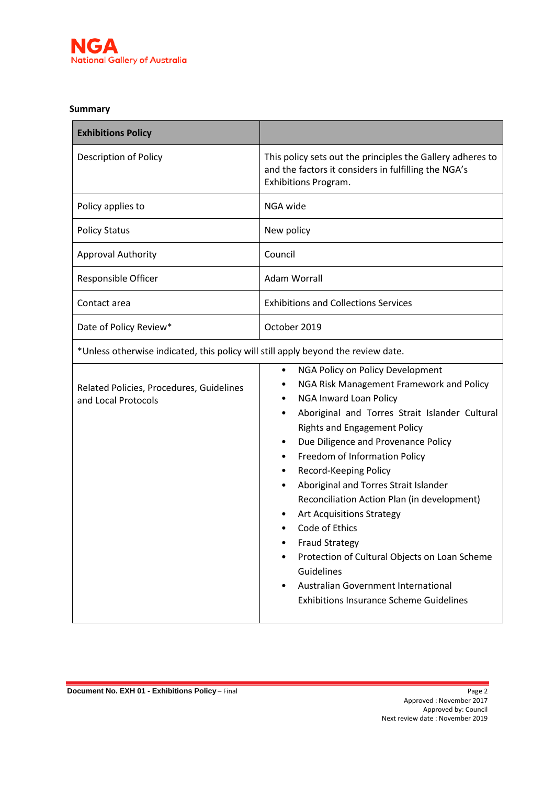

#### **Summary**

| <b>Exhibitions Policy</b>                                                         |                                                                                                                                                                                                                                                                                                                                                                                                                                                                                                                                                                                                                                                                |  |  |  |
|-----------------------------------------------------------------------------------|----------------------------------------------------------------------------------------------------------------------------------------------------------------------------------------------------------------------------------------------------------------------------------------------------------------------------------------------------------------------------------------------------------------------------------------------------------------------------------------------------------------------------------------------------------------------------------------------------------------------------------------------------------------|--|--|--|
| <b>Description of Policy</b>                                                      | This policy sets out the principles the Gallery adheres to<br>and the factors it considers in fulfilling the NGA's<br>Exhibitions Program.                                                                                                                                                                                                                                                                                                                                                                                                                                                                                                                     |  |  |  |
| Policy applies to                                                                 | NGA wide                                                                                                                                                                                                                                                                                                                                                                                                                                                                                                                                                                                                                                                       |  |  |  |
| <b>Policy Status</b>                                                              | New policy                                                                                                                                                                                                                                                                                                                                                                                                                                                                                                                                                                                                                                                     |  |  |  |
| <b>Approval Authority</b>                                                         | Council                                                                                                                                                                                                                                                                                                                                                                                                                                                                                                                                                                                                                                                        |  |  |  |
| Responsible Officer                                                               | Adam Worrall                                                                                                                                                                                                                                                                                                                                                                                                                                                                                                                                                                                                                                                   |  |  |  |
| Contact area                                                                      | <b>Exhibitions and Collections Services</b>                                                                                                                                                                                                                                                                                                                                                                                                                                                                                                                                                                                                                    |  |  |  |
| Date of Policy Review*                                                            | October 2019                                                                                                                                                                                                                                                                                                                                                                                                                                                                                                                                                                                                                                                   |  |  |  |
| *Unless otherwise indicated, this policy will still apply beyond the review date. |                                                                                                                                                                                                                                                                                                                                                                                                                                                                                                                                                                                                                                                                |  |  |  |
| Related Policies, Procedures, Guidelines<br>and Local Protocols                   | NGA Policy on Policy Development<br>$\bullet$<br>NGA Risk Management Framework and Policy<br>NGA Inward Loan Policy<br>Aboriginal and Torres Strait Islander Cultural<br><b>Rights and Engagement Policy</b><br>Due Diligence and Provenance Policy<br>٠<br>Freedom of Information Policy<br>Record-Keeping Policy<br>Aboriginal and Torres Strait Islander<br>Reconciliation Action Plan (in development)<br><b>Art Acquisitions Strategy</b><br>Code of Ethics<br><b>Fraud Strategy</b><br>Protection of Cultural Objects on Loan Scheme<br>Guidelines<br>Australian Government International<br>$\bullet$<br><b>Exhibitions Insurance Scheme Guidelines</b> |  |  |  |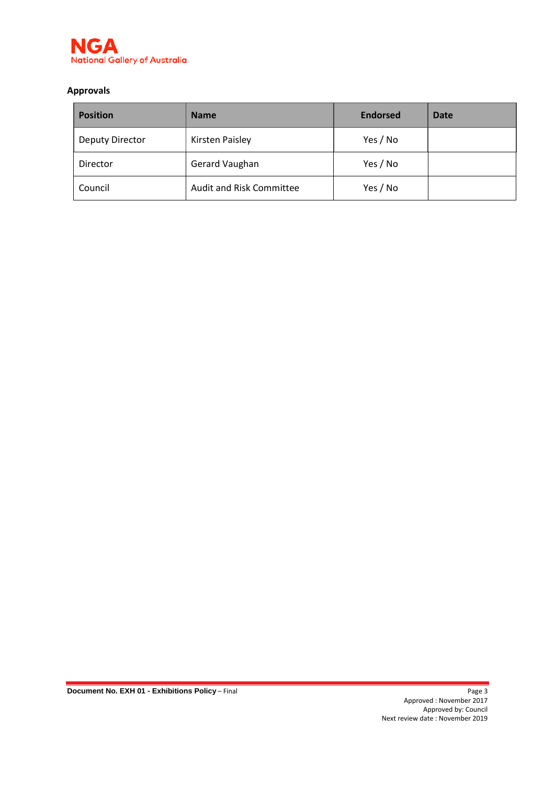

## **Approvals**

| <b>Position</b>        | <b>Name</b>              |          | <b>Date</b> |
|------------------------|--------------------------|----------|-------------|
| <b>Deputy Director</b> | <b>Kirsten Paisley</b>   |          |             |
| Director               | Gerard Vaughan           | Yes / No |             |
| Council                | Audit and Risk Committee | Yes / No |             |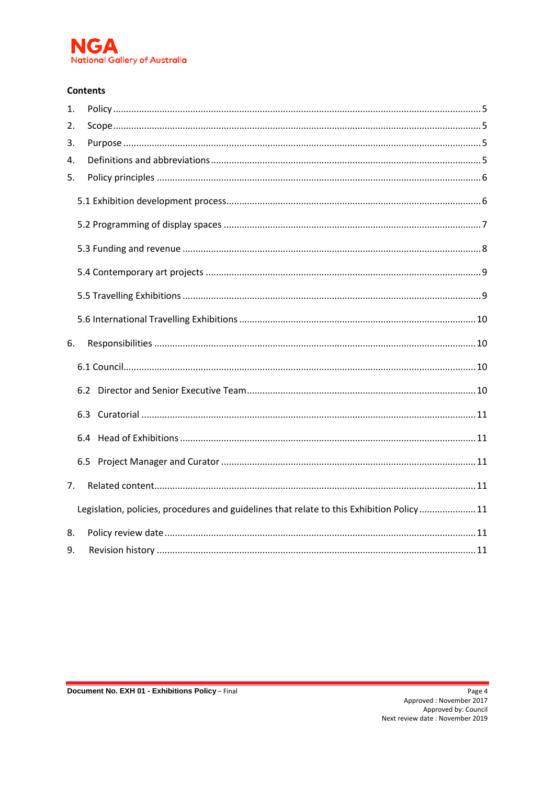

#### **Contents**

| 1. |                                                                                          |  |
|----|------------------------------------------------------------------------------------------|--|
| 2. |                                                                                          |  |
| 3. |                                                                                          |  |
| 4. |                                                                                          |  |
| 5. |                                                                                          |  |
|    |                                                                                          |  |
|    |                                                                                          |  |
|    |                                                                                          |  |
|    |                                                                                          |  |
|    |                                                                                          |  |
|    |                                                                                          |  |
| 6. |                                                                                          |  |
|    |                                                                                          |  |
|    |                                                                                          |  |
|    |                                                                                          |  |
|    |                                                                                          |  |
|    |                                                                                          |  |
| 7. |                                                                                          |  |
|    | Legislation, policies, procedures and guidelines that relate to this Exhibition Policy11 |  |
| 8. |                                                                                          |  |
| 9. |                                                                                          |  |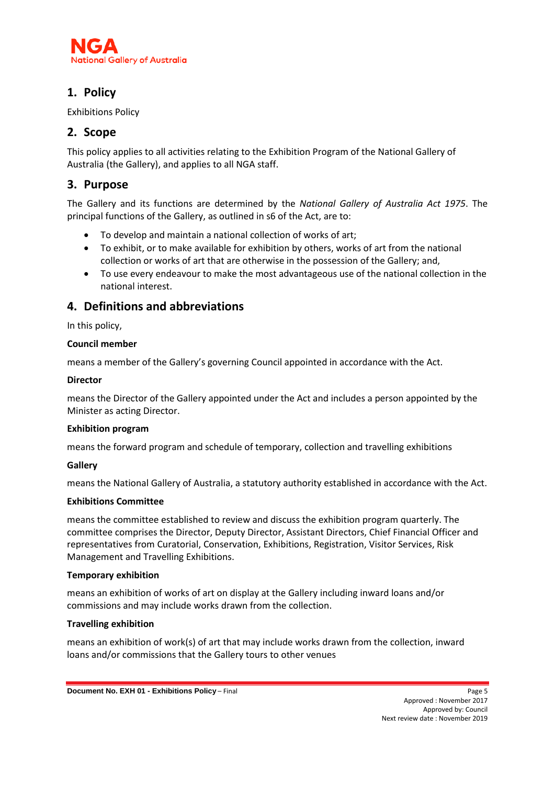

# <span id="page-4-0"></span>**1. Policy**

Exhibitions Policy

# <span id="page-4-1"></span>**2. Scope**

This policy applies to all activities relating to the Exhibition Program of the National Gallery of Australia (the Gallery), and applies to all NGA staff.

# <span id="page-4-2"></span>**3. Purpose**

The Gallery and its functions are determined by the *National Gallery of Australia Act 1975*. The principal functions of the Gallery, as outlined in s6 of the Act, are to:

- To develop and maintain a national collection of works of art;
- To exhibit, or to make available for exhibition by others, works of art from the national collection or works of art that are otherwise in the possession of the Gallery; and,
- To use every endeavour to make the most advantageous use of the national collection in the national interest.

# <span id="page-4-3"></span>**4. Definitions and abbreviations**

In this policy,

#### **Council member**

means a member of the Gallery's governing Council appointed in accordance with the Act.

#### **Director**

means the Director of the Gallery appointed under the Act and includes a person appointed by the Minister as acting Director.

#### **Exhibition program**

means the forward program and schedule of temporary, collection and travelling exhibitions

#### **Gallery**

means the National Gallery of Australia, a statutory authority established in accordance with the Act.

#### **Exhibitions Committee**

means the committee established to review and discuss the exhibition program quarterly. The committee comprises the Director, Deputy Director, Assistant Directors, Chief Financial Officer and representatives from Curatorial, Conservation, Exhibitions, Registration, Visitor Services, Risk Management and Travelling Exhibitions.

#### **Temporary exhibition**

means an exhibition of works of art on display at the Gallery including inward loans and/or commissions and may include works drawn from the collection.

#### **Travelling exhibition**

means an exhibition of work(s) of art that may include works drawn from the collection, inward loans and/or commissions that the Gallery tours to other venues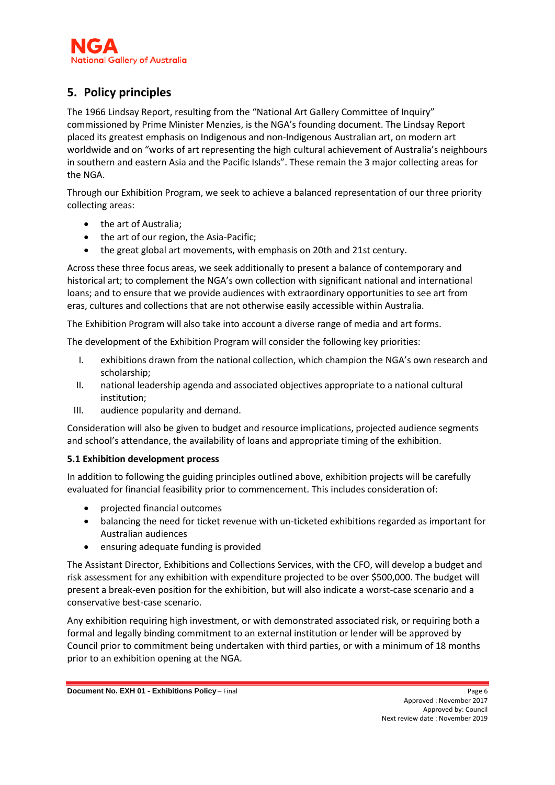

# <span id="page-5-0"></span>**5. Policy principles**

The 1966 Lindsay Report, resulting from the "National Art Gallery Committee of Inquiry" commissioned by Prime Minister Menzies, is the NGA's founding document. The Lindsay Report placed its greatest emphasis on Indigenous and non-Indigenous Australian art, on modern art worldwide and on "works of art representing the high cultural achievement of Australia's neighbours in southern and eastern Asia and the Pacific Islands". These remain the 3 major collecting areas for the NGA.

Through our Exhibition Program, we seek to achieve a balanced representation of our three priority collecting areas:

- the art of Australia;
- the art of our region, the Asia-Pacific;
- the great global art movements, with emphasis on 20th and 21st century.

Across these three focus areas, we seek additionally to present a balance of contemporary and historical art; to complement the NGA's own collection with significant national and international loans; and to ensure that we provide audiences with extraordinary opportunities to see art from eras, cultures and collections that are not otherwise easily accessible within Australia.

The Exhibition Program will also take into account a diverse range of media and art forms.

The development of the Exhibition Program will consider the following key priorities:

- I. exhibitions drawn from the national collection, which champion the NGA's own research and scholarship;
- II. national leadership agenda and associated objectives appropriate to a national cultural institution;
- III. audience popularity and demand.

Consideration will also be given to budget and resource implications, projected audience segments and school's attendance, the availability of loans and appropriate timing of the exhibition.

#### <span id="page-5-1"></span>**5.1 Exhibition development process**

In addition to following the guiding principles outlined above, exhibition projects will be carefully evaluated for financial feasibility prior to commencement. This includes consideration of:

- projected financial outcomes
- balancing the need for ticket revenue with un-ticketed exhibitions regarded as important for Australian audiences
- ensuring adequate funding is provided

The Assistant Director, Exhibitions and Collections Services, with the CFO, will develop a budget and risk assessment for any exhibition with expenditure projected to be over \$500,000. The budget will present a break-even position for the exhibition, but will also indicate a worst-case scenario and a conservative best-case scenario.

Any exhibition requiring high investment, or with demonstrated associated risk, or requiring both a formal and legally binding commitment to an external institution or lender will be approved by Council prior to commitment being undertaken with third parties, or with a minimum of 18 months prior to an exhibition opening at the NGA.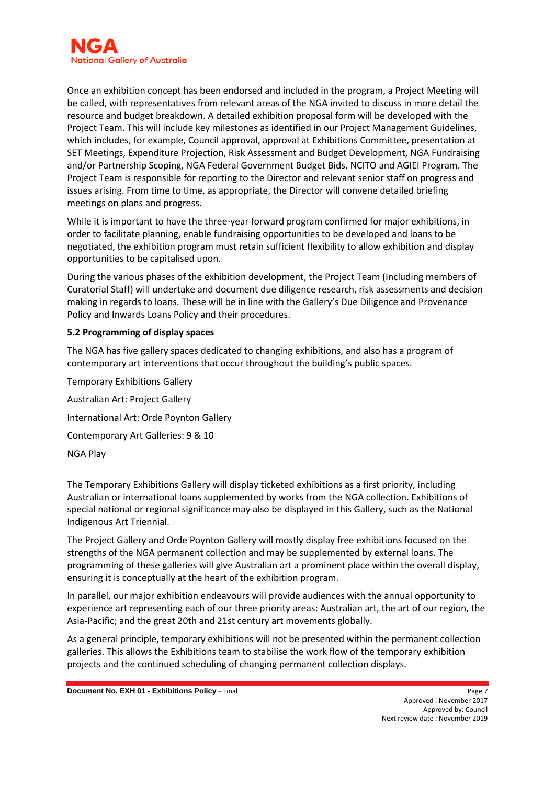

Once an exhibition concept has been endorsed and included in the program, a Project Meeting will be called, with representatives from relevant areas of the NGA invited to discuss in more detail the resource and budget breakdown. A detailed exhibition proposal form will be developed with the Project Team. This will include key milestones as identified in our Project Management Guidelines, which includes, for example, Council approval, approval at Exhibitions Committee, presentation at SET Meetings, Expenditure Projection, Risk Assessment and Budget Development, NGA Fundraising and/or Partnership Scoping, NGA Federal Government Budget Bids, NCITO and AGIEI Program. The Project Team is responsible for reporting to the Director and relevant senior staff on progress and issues arising. From time to time, as appropriate, the Director will convene detailed briefing meetings on plans and progress.

While it is important to have the three-year forward program confirmed for major exhibitions, in order to facilitate planning, enable fundraising opportunities to be developed and loans to be negotiated, the exhibition program must retain sufficient flexibility to allow exhibition and display opportunities to be capitalised upon.

During the various phases of the exhibition development, the Project Team (Including members of Curatorial Staff) will undertake and document due diligence research, risk assessments and decision making in regards to loans. These will be in line with the Gallery's Due Diligence and Provenance Policy and Inwards Loans Policy and their procedures.

#### <span id="page-6-0"></span>**5.2 Programming of display spaces**

The NGA has five gallery spaces dedicated to changing exhibitions, and also has a program of contemporary art interventions that occur throughout the building's public spaces.

Temporary Exhibitions Gallery Australian Art: Project Gallery International Art: Orde Poynton Gallery Contemporary Art Galleries: 9 & 10 NGA Play

The Temporary Exhibitions Gallery will display ticketed exhibitions as a first priority, including Australian or international loans supplemented by works from the NGA collection. Exhibitions of special national or regional significance may also be displayed in this Gallery, such as the National Indigenous Art Triennial.

The Project Gallery and Orde Poynton Gallery will mostly display free exhibitions focused on the strengths of the NGA permanent collection and may be supplemented by external loans. The programming of these galleries will give Australian art a prominent place within the overall display, ensuring it is conceptually at the heart of the exhibition program.

In parallel, our major exhibition endeavours will provide audiences with the annual opportunity to experience art representing each of our three priority areas: Australian art, the art of our region, the Asia-Pacific; and the great 20th and 21st century art movements globally.

As a general principle, temporary exhibitions will not be presented within the permanent collection galleries. This allows the Exhibitions team to stabilise the work flow of the temporary exhibition projects and the continued scheduling of changing permanent collection displays.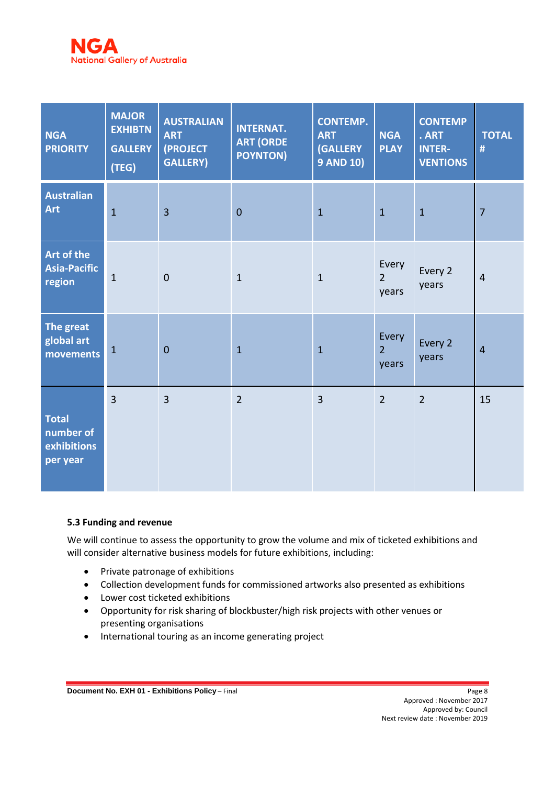

| <b>NGA</b><br><b>PRIORITY</b>                        | <b>MAJOR</b><br><b>EXHIBTN</b><br><b>GALLERY</b><br>(TEG) | <b>AUSTRALIAN</b><br><b>ART</b><br>(PROJECT<br><b>GALLERY)</b> | <b>INTERNAT.</b><br><b>ART (ORDE</b><br><b>POYNTON)</b> | <b>CONTEMP.</b><br><b>ART</b><br><b>(GALLERY</b><br><b>9 AND 10)</b> | <b>NGA</b><br><b>PLAY</b>        | <b>CONTEMP</b><br>. ART<br><b>INTER-</b><br><b>VENTIONS</b> | <b>TOTAL</b><br># |
|------------------------------------------------------|-----------------------------------------------------------|----------------------------------------------------------------|---------------------------------------------------------|----------------------------------------------------------------------|----------------------------------|-------------------------------------------------------------|-------------------|
| <b>Australian</b><br><b>Art</b>                      | $\overline{1}$                                            | $\overline{3}$                                                 | $\overline{0}$                                          | $\mathbf{1}$                                                         | $\mathbf{1}$                     | $\mathbf{1}$                                                | $\overline{7}$    |
| Art of the<br>Asia-Pacific<br>region                 | $\mathbf{1}$                                              | $\overline{0}$                                                 | $\mathbf{1}$                                            | $\mathbf{1}$                                                         | Every<br>$\overline{2}$<br>years | Every 2<br>years                                            | $\overline{4}$    |
| The great<br>global art<br>movements                 | $\mathbf{1}$                                              | $\overline{0}$                                                 | $\mathbf{1}$                                            | $\mathbf{1}$                                                         | Every<br>$\overline{2}$<br>years | Every 2<br>years                                            | $\overline{4}$    |
| <b>Total</b><br>number of<br>exhibitions<br>per year | $\overline{3}$                                            | $\overline{3}$                                                 | $\overline{2}$                                          | $\overline{3}$                                                       | $\overline{2}$                   | $\overline{2}$                                              | 15                |

#### <span id="page-7-0"></span>**5.3 Funding and revenue**

We will continue to assess the opportunity to grow the volume and mix of ticketed exhibitions and will consider alternative business models for future exhibitions, including:

- Private patronage of exhibitions
- Collection development funds for commissioned artworks also presented as exhibitions
- Lower cost ticketed exhibitions
- Opportunity for risk sharing of blockbuster/high risk projects with other venues or presenting organisations
- International touring as an income generating project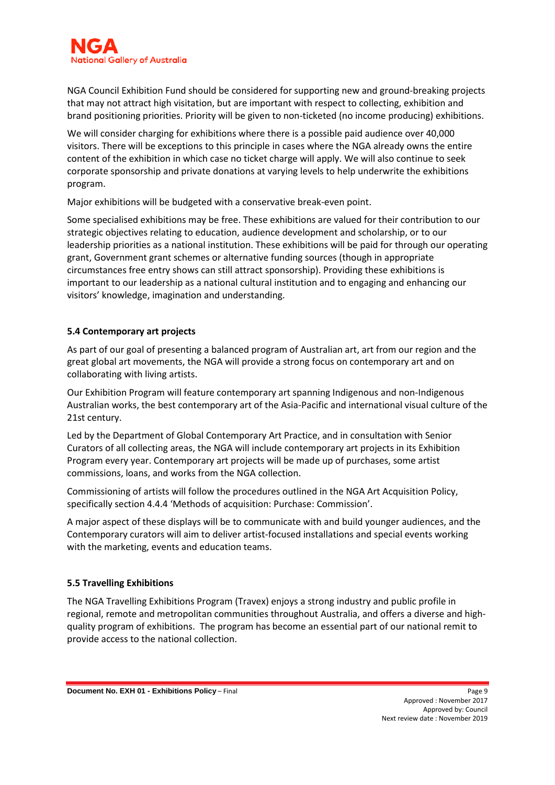NGA Council Exhibition Fund should be considered for supporting new and ground-breaking projects that may not attract high visitation, but are important with respect to collecting, exhibition and brand positioning priorities. Priority will be given to non-ticketed (no income producing) exhibitions.

We will consider charging for exhibitions where there is a possible paid audience over 40,000 visitors. There will be exceptions to this principle in cases where the NGA already owns the entire content of the exhibition in which case no ticket charge will apply. We will also continue to seek corporate sponsorship and private donations at varying levels to help underwrite the exhibitions program.

Major exhibitions will be budgeted with a conservative break-even point.

Some specialised exhibitions may be free. These exhibitions are valued for their contribution to our strategic objectives relating to education, audience development and scholarship, or to our leadership priorities as a national institution. These exhibitions will be paid for through our operating grant, Government grant schemes or alternative funding sources (though in appropriate circumstances free entry shows can still attract sponsorship). Providing these exhibitions is important to our leadership as a national cultural institution and to engaging and enhancing our visitors' knowledge, imagination and understanding.

### <span id="page-8-0"></span>**5.4 Contemporary art projects**

As part of our goal of presenting a balanced program of Australian art, art from our region and the great global art movements, the NGA will provide a strong focus on contemporary art and on collaborating with living artists.

Our Exhibition Program will feature contemporary art spanning Indigenous and non-Indigenous Australian works, the best contemporary art of the Asia-Pacific and international visual culture of the 21st century.

Led by the Department of Global Contemporary Art Practice, and in consultation with Senior Curators of all collecting areas, the NGA will include contemporary art projects in its Exhibition Program every year. Contemporary art projects will be made up of purchases, some artist commissions, loans, and works from the NGA collection.

Commissioning of artists will follow the procedures outlined in the NGA Art Acquisition Policy, specifically section 4.4.4 'Methods of acquisition: Purchase: Commission'.

A major aspect of these displays will be to communicate with and build younger audiences, and the Contemporary curators will aim to deliver artist-focused installations and special events working with the marketing, events and education teams.

#### <span id="page-8-1"></span>**5.5 Travelling Exhibitions**

The NGA Travelling Exhibitions Program (Travex) enjoys a strong industry and public profile in regional, remote and metropolitan communities throughout Australia, and offers a diverse and highquality program of exhibitions. The program has become an essential part of our national remit to provide access to the national collection.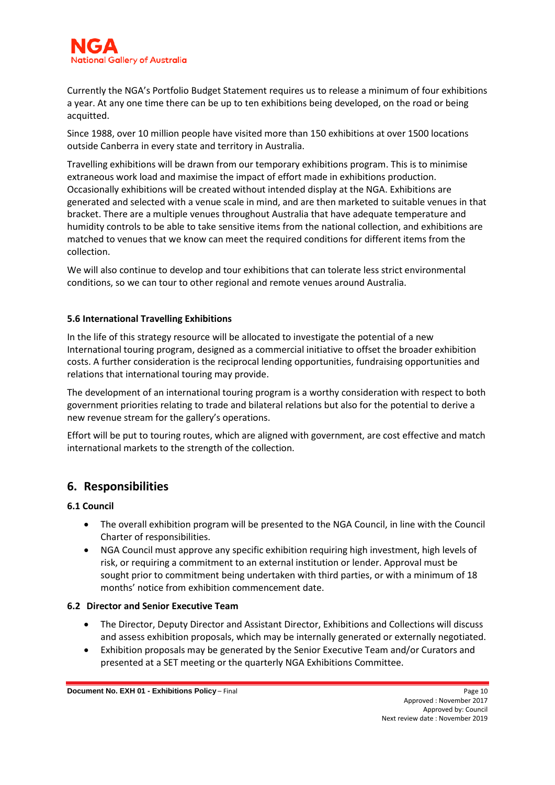

Currently the NGA's Portfolio Budget Statement requires us to release a minimum of four exhibitions a year. At any one time there can be up to ten exhibitions being developed, on the road or being acquitted.

Since 1988, over 10 million people have visited more than 150 exhibitions at over 1500 locations outside Canberra in every state and territory in Australia.

Travelling exhibitions will be drawn from our temporary exhibitions program. This is to minimise extraneous work load and maximise the impact of effort made in exhibitions production. Occasionally exhibitions will be created without intended display at the NGA. Exhibitions are generated and selected with a venue scale in mind, and are then marketed to suitable venues in that bracket. There are a multiple venues throughout Australia that have adequate temperature and humidity controls to be able to take sensitive items from the national collection, and exhibitions are matched to venues that we know can meet the required conditions for different items from the collection.

We will also continue to develop and tour exhibitions that can tolerate less strict environmental conditions, so we can tour to other regional and remote venues around Australia.

#### <span id="page-9-0"></span>**5.6 International Travelling Exhibitions**

In the life of this strategy resource will be allocated to investigate the potential of a new International touring program, designed as a commercial initiative to offset the broader exhibition costs. A further consideration is the reciprocal lending opportunities, fundraising opportunities and relations that international touring may provide.

The development of an international touring program is a worthy consideration with respect to both government priorities relating to trade and bilateral relations but also for the potential to derive a new revenue stream for the gallery's operations.

Effort will be put to touring routes, which are aligned with government, are cost effective and match international markets to the strength of the collection.

## <span id="page-9-1"></span>**6. Responsibilities**

#### <span id="page-9-2"></span>**6.1 Council**

- The overall exhibition program will be presented to the NGA Council, in line with the Council Charter of responsibilities.
- NGA Council must approve any specific exhibition requiring high investment, high levels of risk, or requiring a commitment to an external institution or lender. Approval must be sought prior to commitment being undertaken with third parties, or with a minimum of 18 months' notice from exhibition commencement date.

#### <span id="page-9-3"></span>**6.2 Director and Senior Executive Team**

- The Director, Deputy Director and Assistant Director, Exhibitions and Collections will discuss and assess exhibition proposals, which may be internally generated or externally negotiated.
- Exhibition proposals may be generated by the Senior Executive Team and/or Curators and presented at a SET meeting or the quarterly NGA Exhibitions Committee.